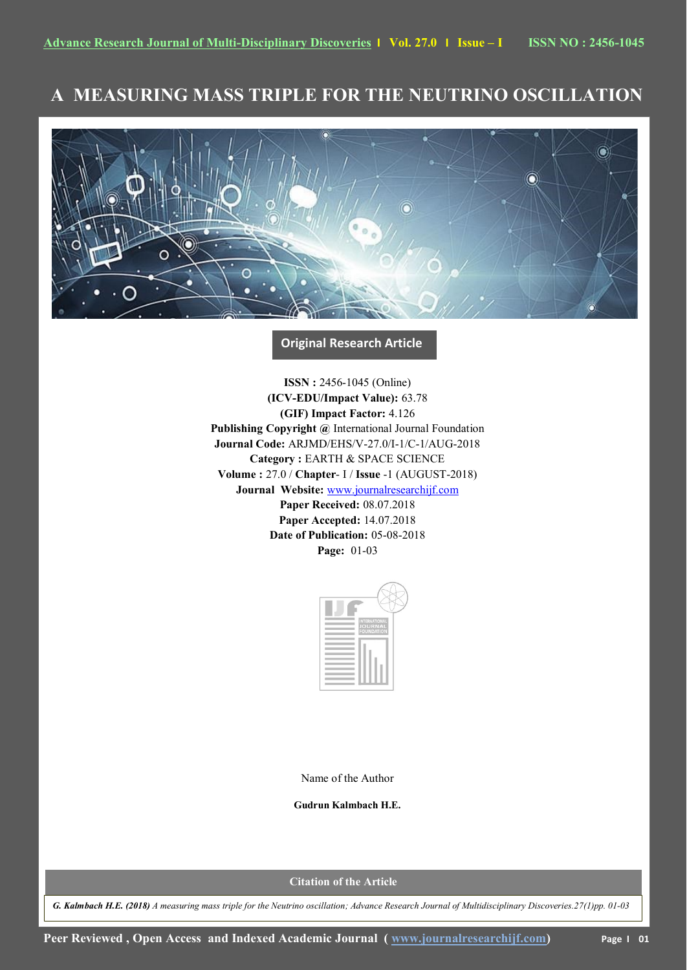## **A MEASURING MASS TRIPLE FOR THE NEUTRINO OSCILLATION**



**Original Research Article** 

**ISSN :** 2456-1045 (Online) **(ICV-EDU/Impact Value):** 63.78 **(GIF) Impact Factor:** 4.126 **Publishing Copyright @** International Journal Foundation **Journal Code:** ARJMD/EHS/V-27.0/I-1/C-1/AUG-2018 **Category :** EARTH & SPACE SCIENCE **Volume :** 27.0 / **Chapter**- I / **Issue** -1 (AUGUST-2018) **Journal Website:** [www.journalresearchijf.com](http://www.journalresearchijf.com/) **Paper Received:** 08.07.2018 **Paper Accepted:** 14.07.2018 **Date of Publication:** 05-08-2018 **Page:** 01-03



Name of the Author

**Gudrun Kalmbach H.E.**

**Citation of the Article**

*G. Kalmbach H.E. (2018) A measuring mass triple for the Neutrino oscillation; Advance Research Journal of Multidisciplinary Discoveries.27(1)pp. 01-03*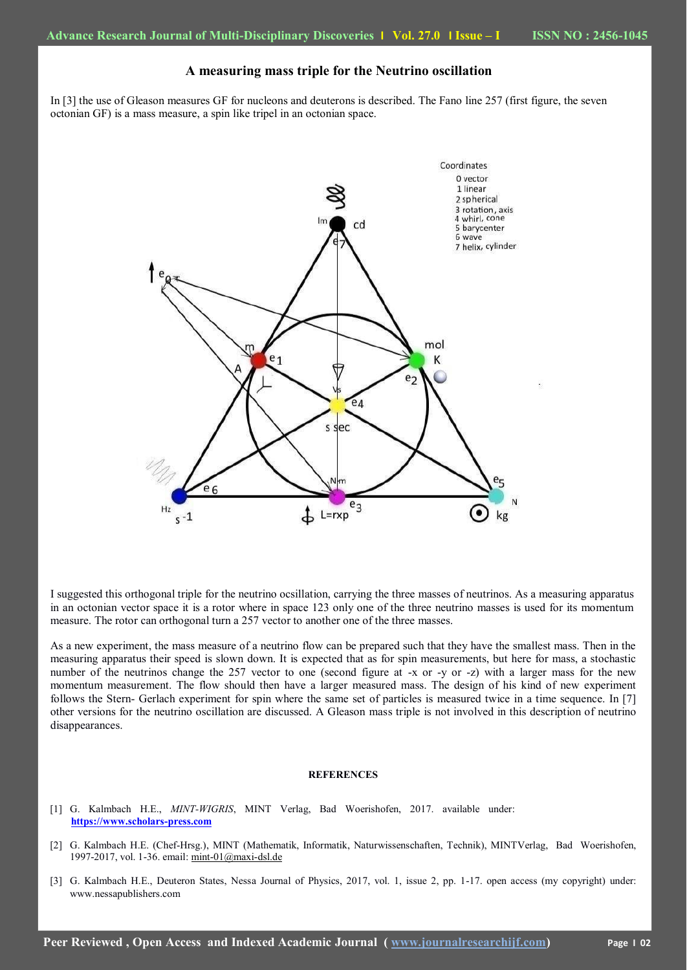## **A measuring mass triple for the Neutrino oscillation**

In [3] the use of Gleason measures GF for nucleons and deuterons is described. The Fano line 257 (first figure, the seven octonian GF) is a mass measure, a spin like tripel in an octonian space.



I suggested this orthogonal triple for the neutrino ocsillation, carrying the three masses of neutrinos. As a measuring apparatus in an octonian vector space it is a rotor where in space 123 only one of the three neutrino masses is used for its momentum measure. The rotor can orthogonal turn a 257 vector to another one of the three masses.

As a new experiment, the mass measure of a neutrino flow can be prepared such that they have the smallest mass. Then in the measuring apparatus their speed is slown down. It is expected that as for spin measurements, but here for mass, a stochastic number of the neutrinos change the 257 vector to one (second figure at -x or -y or -z) with a larger mass for the new momentum measurement. The flow should then have a larger measured mass. The design of his kind of new experiment follows the Stern- Gerlach experiment for spin where the same set of particles is measured twice in a time sequence. In [7] other versions for the neutrino oscillation are discussed. A Gleason mass triple is not involved in this description of neutrino disappearances.

## **REFERENCES**

- [1] G. Kalmbach H.E., *MINT-WIGRIS*, MINT Verlag, Bad Woerishofen, 2017. available under: **[https://www.scholars-press.com](https://www.scholars-press.com/)**
- [2] G. Kalmbach H.E. (Chef-Hrsg.), MINT (Mathematik, Informatik, Naturwissenschaften, Technik), MINTVerlag, Bad Woerishofen, 1997-2017, vol. 1-36. email: [mint-01@maxi-dsl.de](mailto:mint-01@maxi-dsl.de)
- [3] G. Kalmbach H.E., Deuteron States, Nessa Journal of Physics, 2017, vol. 1, issue 2, pp. 1-17. open access (my copyright) under: www.nessapublishers.com